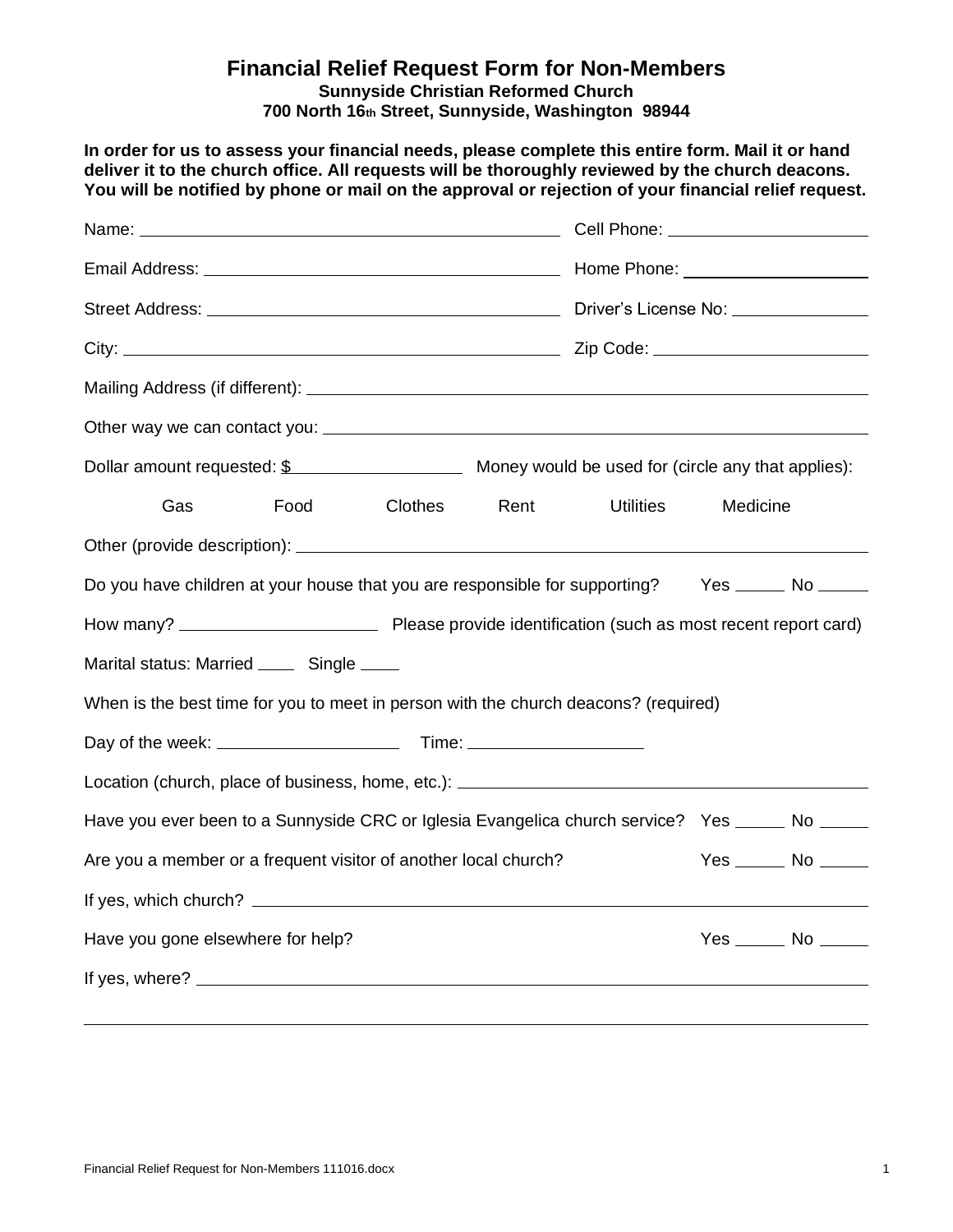## **Financial Relief Request Form for Non-Members**

**Sunnyside Christian Reformed Church 700 North 16th Street, Sunnyside, Washington 98944**

**In order for us to assess your financial needs, please complete this entire form. Mail it or hand deliver it to the church office. All requests will be thoroughly reviewed by the church deacons. You will be notified by phone or mail on the approval or rejection of your financial relief request.** 

|                                                                                                                |      |         | Cell Phone: <u>_______________________</u> |                  |                      |  |
|----------------------------------------------------------------------------------------------------------------|------|---------|--------------------------------------------|------------------|----------------------|--|
|                                                                                                                |      |         |                                            |                  |                      |  |
|                                                                                                                |      |         |                                            |                  |                      |  |
|                                                                                                                |      |         |                                            |                  |                      |  |
|                                                                                                                |      |         |                                            |                  |                      |  |
|                                                                                                                |      |         |                                            |                  |                      |  |
|                                                                                                                |      |         |                                            |                  |                      |  |
| Gas                                                                                                            | Food | Clothes | Rent                                       | <b>Utilities</b> | Medicine             |  |
|                                                                                                                |      |         |                                            |                  |                      |  |
| Do you have children at your house that you are responsible for supporting? Yes _____ No _____                 |      |         |                                            |                  |                      |  |
|                                                                                                                |      |         |                                            |                  |                      |  |
| Marital status: Married ______ Single _____                                                                    |      |         |                                            |                  |                      |  |
| When is the best time for you to meet in person with the church deacons? (required)                            |      |         |                                            |                  |                      |  |
|                                                                                                                |      |         |                                            |                  |                      |  |
| Location (church, place of business, home, etc.): [2001] [2012] [2012] [2012] [2012] [2012] [2012] [2012] [201 |      |         |                                            |                  |                      |  |
| Have you ever been to a Sunnyside CRC or Iglesia Evangelica church service? Yes _____ No _____                 |      |         |                                            |                  |                      |  |
| Are you a member or a frequent visitor of another local church?                                                |      |         |                                            |                  | $Yes$ No $\_\_\_\_\$ |  |
|                                                                                                                |      |         |                                            |                  |                      |  |
| Have you gone elsewhere for help?                                                                              |      |         |                                            |                  | $Yes$ No $\_\_\_\_\$ |  |
|                                                                                                                |      |         |                                            |                  |                      |  |
|                                                                                                                |      |         |                                            |                  |                      |  |